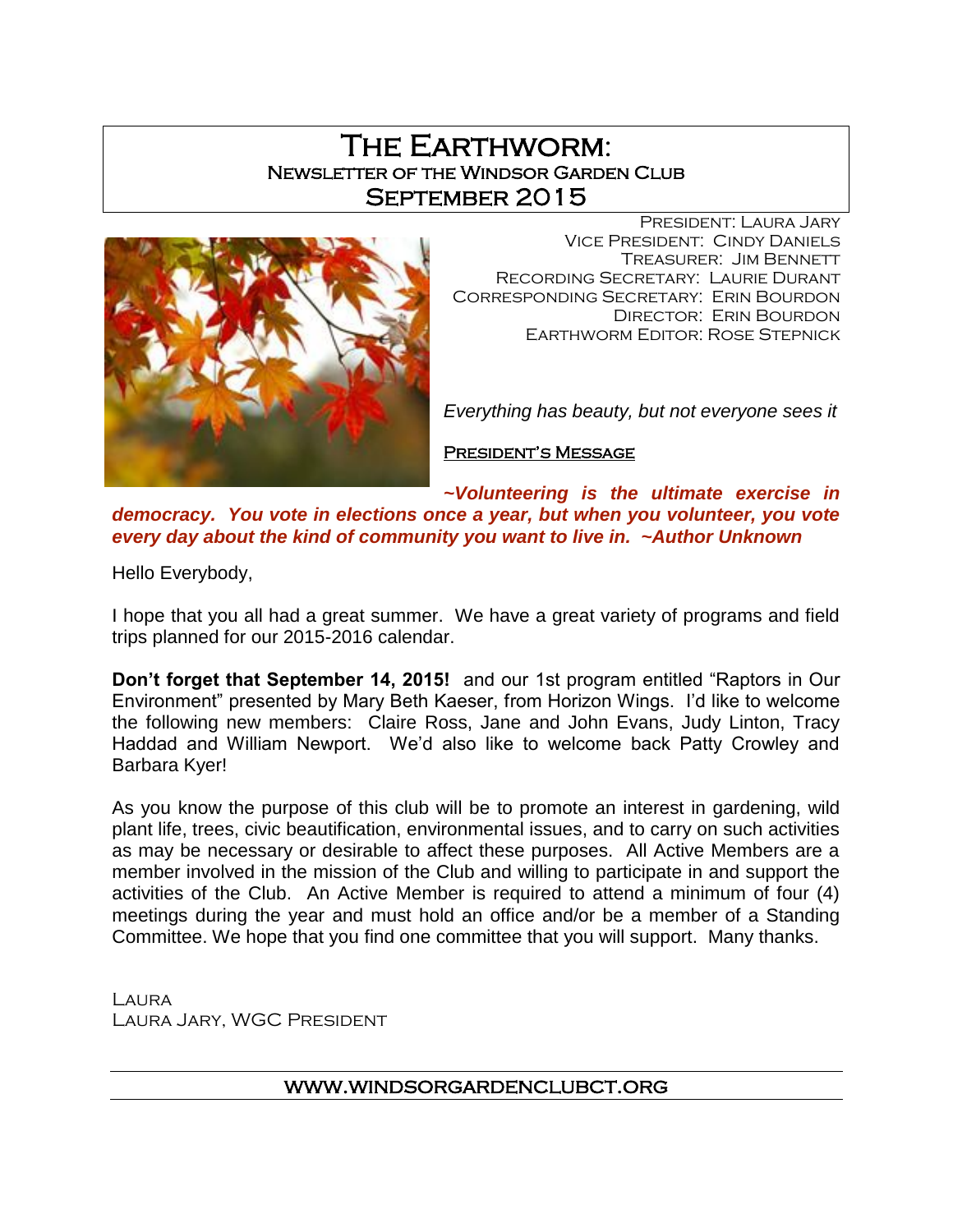# The Earthworm: Newsletter of the Windsor Garden Club September 2015



President: Laura Jary Vice President: Cindy Daniels Treasurer: Jim Bennett Recording Secretary: Laurie Durant Corresponding Secretary: Erin Bourdon Director: Erin Bourdon Earthworm Editor: Rose Stepnick

*Everything has beauty, but not everyone sees it*

President's Message

*~Volunteering is the ultimate exercise in democracy. You vote in elections once a year, but when you volunteer, you vote every day about the kind of community you want to live in. ~Author Unknown*

Hello Everybody,

I hope that you all had a great summer. We have a great variety of programs and field trips planned for our 2015-2016 calendar.

**Don't forget that September 14, 2015!** and our 1st program entitled "Raptors in Our Environment" presented by Mary Beth Kaeser, from Horizon Wings. I'd like to welcome the following new members: Claire Ross, Jane and John Evans, Judy Linton, Tracy Haddad and William Newport. We'd also like to welcome back Patty Crowley and Barbara Kyer!

As you know the purpose of this club will be to promote an interest in gardening, wild plant life, trees, civic beautification, environmental issues, and to carry on such activities as may be necessary or desirable to affect these purposes. All Active Members are a member involved in the mission of the Club and willing to participate in and support the activities of the Club. An Active Member is required to attend a minimum of four (4) meetings during the year and must hold an office and/or be a member of a Standing Committee. We hope that you find one committee that you will support. Many thanks.

LAURA Laura Jary, WGC President

## [www.windsorgardenclubct.org](http://www.windsorgardenclubct.org/)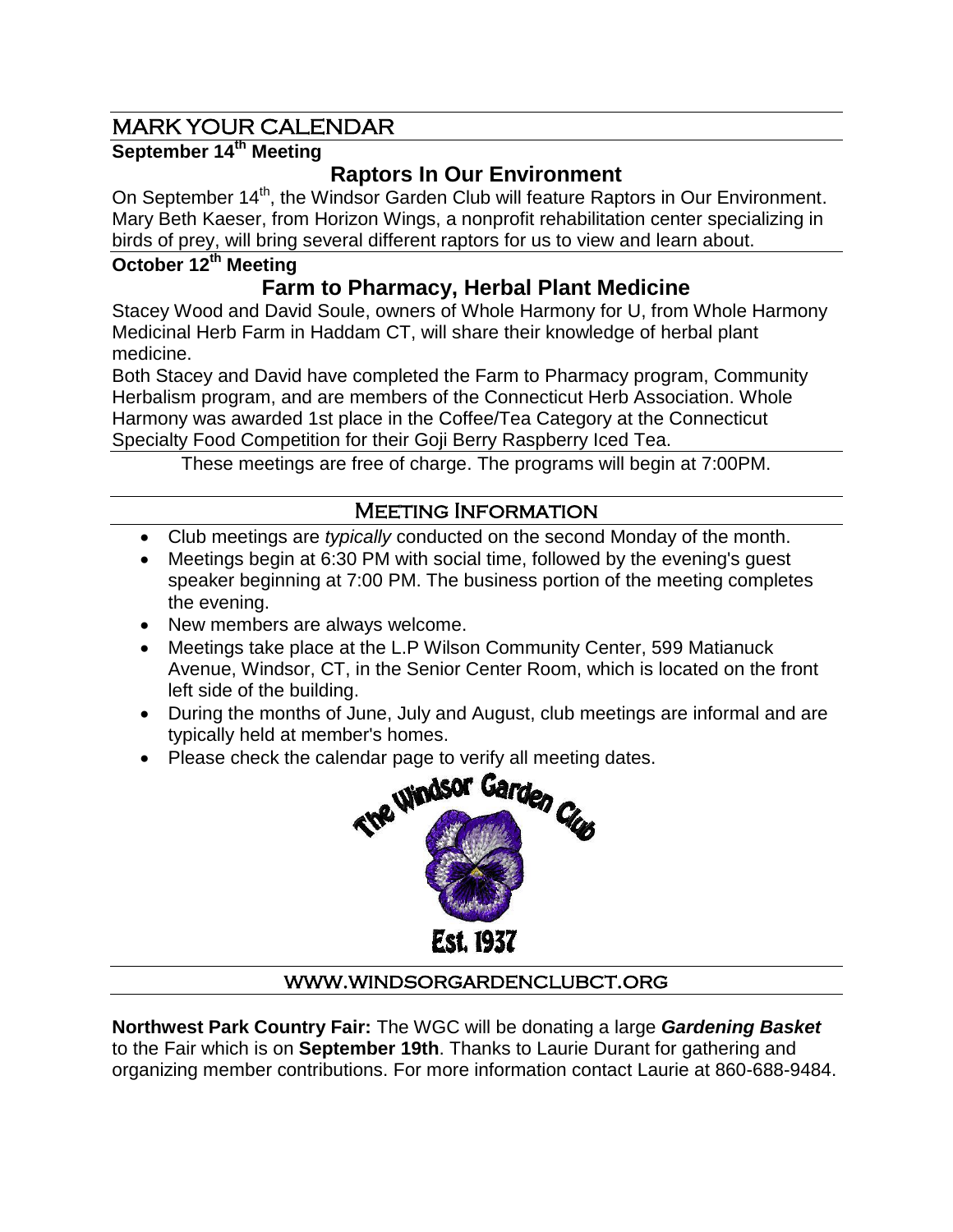# MARK YOUR CALENDAR

## **September 14th Meeting**

# **Raptors In Our Environment**

On September 14<sup>th</sup>, the Windsor Garden Club will feature Raptors in Our Environment. Mary Beth Kaeser, from Horizon Wings, a nonprofit rehabilitation center specializing in birds of prey, will bring several different raptors for us to view and learn about.

## **October 12th Meeting**

# **Farm to Pharmacy, Herbal Plant Medicine**

Stacey Wood and David Soule, owners of Whole Harmony for U, from Whole Harmony Medicinal Herb Farm in Haddam CT, will share their knowledge of herbal plant medicine.

Both Stacey and David have completed the Farm to Pharmacy program, Community Herbalism program, and are members of the Connecticut Herb Association. Whole Harmony was awarded 1st place in the Coffee/Tea Category at the Connecticut Specialty Food Competition for their Goji Berry Raspberry Iced Tea.

These meetings are free of charge. The programs will begin at 7:00PM.

## Meeting Information

- Club meetings are *typically* conducted on the second Monday of the month.
- Meetings begin at 6:30 PM with social time, followed by the evening's guest speaker beginning at 7:00 PM. The business portion of the meeting completes the evening.
- New members are always welcome.
- Meetings take place at the L.P Wilson Community Center, 599 Matianuck Avenue, Windsor, CT, in the Senior Center Room, which is located on the front left side of the building.
- During the months of June, July and August, club meetings are informal and are typically held at member's homes.
- Please check the calendar page to verify all meeting dates.



## [www.windsorgardenclubct.org](http://www.windsorgardenclubct.org/)

**Northwest Park Country Fair:** The WGC will be donating a large *Gardening Basket* to the Fair which is on **September 19th**. Thanks to Laurie Durant for gathering and organizing member contributions. For more information contact Laurie at 860-688-9484.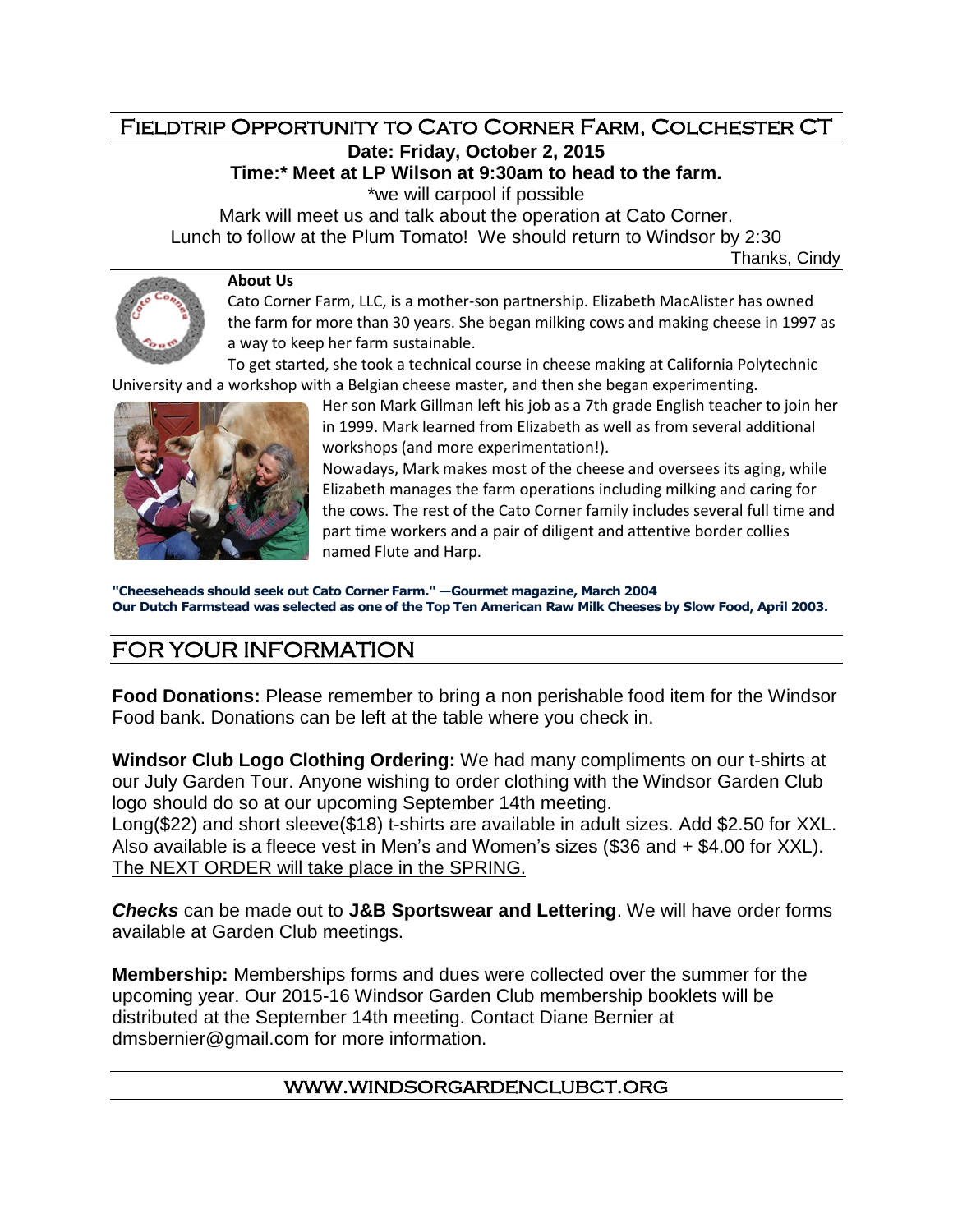### Fieldtrip Opportunity to Cato Corner Farm, Colchester CT **Date: Friday, October 2, 2015**

**Time:\* Meet at LP Wilson at 9:30am to head to the farm.** 

\*we will carpool if possible

Mark will meet us and talk about the operation at Cato Corner. Lunch to follow at the Plum Tomato! We should return to Windsor by 2:30

Thanks, Cindy

#### **About Us**

Cato Corner Farm, LLC, is a mother-son partnership. Elizabeth MacAlister has owned the farm for more than 30 years. She began milking cows and making cheese in 1997 as a way to keep her farm sustainable.

To get started, she took a technical course in cheese making at California Polytechnic University and a workshop with a Belgian cheese master, and then she began experimenting.



Her son Mark Gillman left his job as a 7th grade English teacher to join her in 1999. Mark learned from Elizabeth as well as from several additional workshops (and more experimentation!). Nowadays, Mark makes most of the cheese and oversees its aging, while Elizabeth manages the farm operations including milking and caring for the cows. The rest of the Cato Corner family includes several full time and

part time workers and a pair of diligent and attentive border collies named Flute and Harp.

**"Cheeseheads should seek out Cato Corner Farm." —Gourmet magazine, March 2004 Our Dutch Farmstead was selected as one of the Top Ten American Raw Milk Cheeses by Slow Food, April 2003.**

# FOR YOUR INFORMATION

**Food Donations:** Please remember to bring a non perishable food item for the Windsor Food bank. Donations can be left at the table where you check in.

**Windsor Club Logo Clothing Ordering:** We had many compliments on our t-shirts at our July Garden Tour. Anyone wishing to order clothing with the Windsor Garden Club logo should do so at our upcoming September 14th meeting.

Long(\$22) and short sleeve(\$18) t-shirts are available in adult sizes. Add \$2.50 for XXL. Also available is a fleece vest in Men's and Women's sizes (\$36 and + \$4.00 for XXL). The NEXT ORDER will take place in the SPRING.

*Checks* can be made out to **J&B Sportswear and Lettering**. We will have order forms available at Garden Club meetings.

**Membership:** Memberships forms and dues were collected over the summer for the upcoming year. Our 2015-16 Windsor Garden Club membership booklets will be distributed at the September 14th meeting. Contact Diane Bernier at dmsbernier@gmail.com for more information.

#### [www.windsorgardenclubct.org](http://www.windsorgardenclubct.org/)